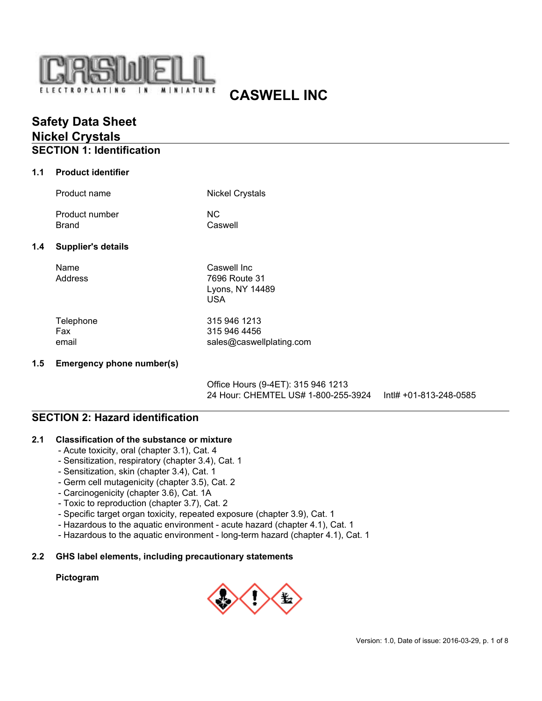

# **CASWELL INC**

# **Safety Data Sheet Nickel Crystals**

# **SECTION 1: Identification**

### **1.1 Product identifier**

|                                  | Product name                   | <b>Nickel Crystals</b>                                        |
|----------------------------------|--------------------------------|---------------------------------------------------------------|
|                                  | Product number<br><b>Brand</b> | <b>NC</b><br>Caswell                                          |
| 1.4<br><b>Supplier's details</b> |                                |                                                               |
|                                  | Name<br>Address                | Caswell Inc<br>7696 Route 31<br>Lyons, NY 14489<br><b>USA</b> |
|                                  | Telephone<br>Fax               | 315 946 1213<br>315 946 4456                                  |

email sales@caswellplating.com

### **1.5 Emergency phone number(s)**

Office Hours (9-4ET): 315 946 1213 24 Hour: CHEMTEL US# 1-800-255-3924 Intl# +01-813-248-0585

## **SECTION 2: Hazard identification**

### **2.1 Classification of the substance or mixture**

- Acute toxicity, oral (chapter 3.1), Cat. 4
- Sensitization, respiratory (chapter 3.4), Cat. 1
- Sensitization, skin (chapter 3.4), Cat. 1
- Germ cell mutagenicity (chapter 3.5), Cat. 2
- Carcinogenicity (chapter 3.6), Cat. 1A
- Toxic to reproduction (chapter 3.7), Cat. 2
- Specific target organ toxicity, repeated exposure (chapter 3.9), Cat. 1
- Hazardous to the aquatic environment acute hazard (chapter 4.1), Cat. 1
- Hazardous to the aquatic environment long-term hazard (chapter 4.1), Cat. 1

### **2.2 GHS label elements, including precautionary statements**

### **Pictogram**

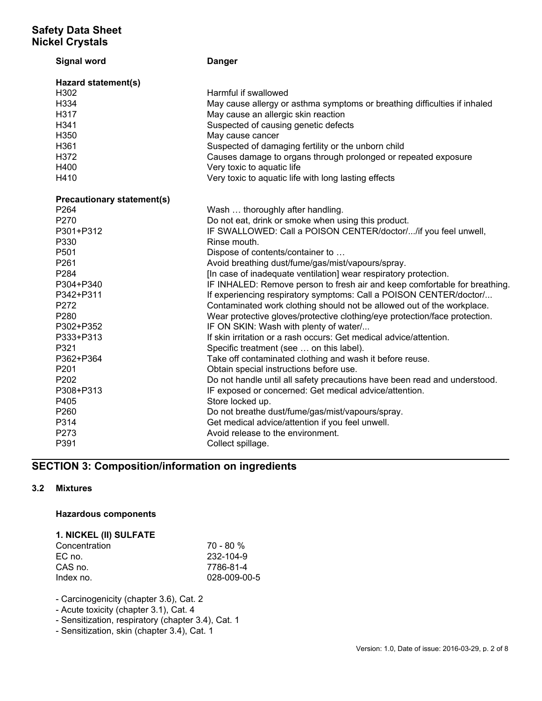| <b>Signal word</b>                      | <b>Danger</b>                                                              |  |  |  |
|-----------------------------------------|----------------------------------------------------------------------------|--|--|--|
| Hazard statement(s)<br>H <sub>302</sub> | Harmful if swallowed                                                       |  |  |  |
| H334                                    | May cause allergy or asthma symptoms or breathing difficulties if inhaled  |  |  |  |
| H317                                    | May cause an allergic skin reaction                                        |  |  |  |
| H341                                    | Suspected of causing genetic defects                                       |  |  |  |
| H350                                    | May cause cancer                                                           |  |  |  |
| H361                                    | Suspected of damaging fertility or the unborn child                        |  |  |  |
| H372                                    | Causes damage to organs through prolonged or repeated exposure             |  |  |  |
| H400                                    | Very toxic to aquatic life                                                 |  |  |  |
| H410                                    | Very toxic to aquatic life with long lasting effects                       |  |  |  |
| <b>Precautionary statement(s)</b>       |                                                                            |  |  |  |
| P <sub>264</sub>                        | Wash  thoroughly after handling.                                           |  |  |  |
| P270                                    | Do not eat, drink or smoke when using this product.                        |  |  |  |
| P301+P312                               | IF SWALLOWED: Call a POISON CENTER/doctor//if you feel unwell,             |  |  |  |
| P330                                    | Rinse mouth.                                                               |  |  |  |
| P <sub>501</sub>                        | Dispose of contents/container to                                           |  |  |  |
| P261                                    | Avoid breathing dust/fume/gas/mist/vapours/spray.                          |  |  |  |
| P284                                    | [In case of inadequate ventilation] wear respiratory protection.           |  |  |  |
| P304+P340                               | IF INHALED: Remove person to fresh air and keep comfortable for breathing. |  |  |  |
| P342+P311                               | If experiencing respiratory symptoms: Call a POISON CENTER/doctor/         |  |  |  |
| P272                                    | Contaminated work clothing should not be allowed out of the workplace.     |  |  |  |
| P280                                    | Wear protective gloves/protective clothing/eye protection/face protection. |  |  |  |
| P302+P352                               | IF ON SKIN: Wash with plenty of water/                                     |  |  |  |
| P333+P313                               | If skin irritation or a rash occurs: Get medical advice/attention.         |  |  |  |
| P321                                    | Specific treatment (see  on this label).                                   |  |  |  |
| P362+P364                               | Take off contaminated clothing and wash it before reuse.                   |  |  |  |
| P <sub>201</sub>                        | Obtain special instructions before use.                                    |  |  |  |
| P202                                    | Do not handle until all safety precautions have been read and understood.  |  |  |  |
| P308+P313                               | IF exposed or concerned: Get medical advice/attention.                     |  |  |  |
| P405                                    | Store locked up.                                                           |  |  |  |
| P260                                    | Do not breathe dust/fume/gas/mist/vapours/spray.                           |  |  |  |
| P314                                    | Get medical advice/attention if you feel unwell.                           |  |  |  |
| P273                                    | Avoid release to the environment.                                          |  |  |  |
| P391                                    | Collect spillage.                                                          |  |  |  |

# **SECTION 3: Composition/information on ingredients**

## **3.2 Mixtures**

## **Hazardous components**

### **1. NICKEL (II) SULFATE** Concentration 70 - 80 %

| <b>UUITUUITUUUIT</b> | 1 U - UU 7 U |
|----------------------|--------------|
| EC no.               | 232-104-9    |
| CAS no.              | 7786-81-4    |
| Index no.            | 028-009-00-5 |
|                      |              |

- Carcinogenicity (chapter 3.6), Cat. 2

- Acute toxicity (chapter 3.1), Cat. 4
- Sensitization, respiratory (chapter 3.4), Cat. 1
- Sensitization, skin (chapter 3.4), Cat. 1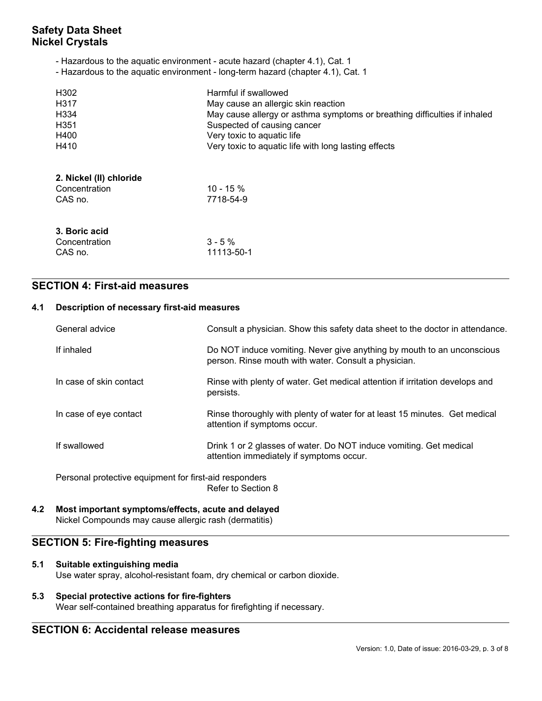- Hazardous to the aquatic environment acute hazard (chapter 4.1), Cat. 1
- Hazardous to the aquatic environment long-term hazard (chapter 4.1), Cat. 1

| H302<br>H317<br>H334<br>H <sub>351</sub><br>H400<br>H410 | Harmful if swallowed<br>May cause an allergic skin reaction<br>May cause allergy or asthma symptoms or breathing difficulties if inhaled<br>Suspected of causing cancer<br>Very toxic to aquatic life<br>Very toxic to aquatic life with long lasting effects |
|----------------------------------------------------------|---------------------------------------------------------------------------------------------------------------------------------------------------------------------------------------------------------------------------------------------------------------|
| 2. Nickel (II) chloride<br>Concentration<br>CAS no.      | $10 - 15 \%$<br>7718-54-9                                                                                                                                                                                                                                     |
| 3. Boric acid<br>Concentration<br>CAS no.                | $3 - 5\%$<br>11113-50-1                                                                                                                                                                                                                                       |

## **SECTION 4: First-aid measures**

### **4.1 Description of necessary first-aid measures**

| General advice                                         | Consult a physician. Show this safety data sheet to the doctor in attendance.                                                  |  |  |  |
|--------------------------------------------------------|--------------------------------------------------------------------------------------------------------------------------------|--|--|--|
| If inhaled                                             | Do NOT induce vomiting. Never give anything by mouth to an unconscious<br>person. Rinse mouth with water. Consult a physician. |  |  |  |
| In case of skin contact                                | Rinse with plenty of water. Get medical attention if irritation develops and<br>persists.                                      |  |  |  |
| In case of eye contact                                 | Rinse thoroughly with plenty of water for at least 15 minutes. Get medical<br>attention if symptoms occur.                     |  |  |  |
| If swallowed                                           | Drink 1 or 2 glasses of water. Do NOT induce vomiting. Get medical<br>attention immediately if symptoms occur.                 |  |  |  |
| Personal protective equipment for first-aid responders |                                                                                                                                |  |  |  |

Refer to Section 8

**4.2 Most important symptoms/effects, acute and delayed** Nickel Compounds may cause allergic rash (dermatitis)

## **SECTION 5: Fire-fighting measures**

### **5.1 Suitable extinguishing media**

Use water spray, alcohol-resistant foam, dry chemical or carbon dioxide.

### **5.3 Special protective actions for fire-fighters** Wear self-contained breathing apparatus for firefighting if necessary.

# **SECTION 6: Accidental release measures**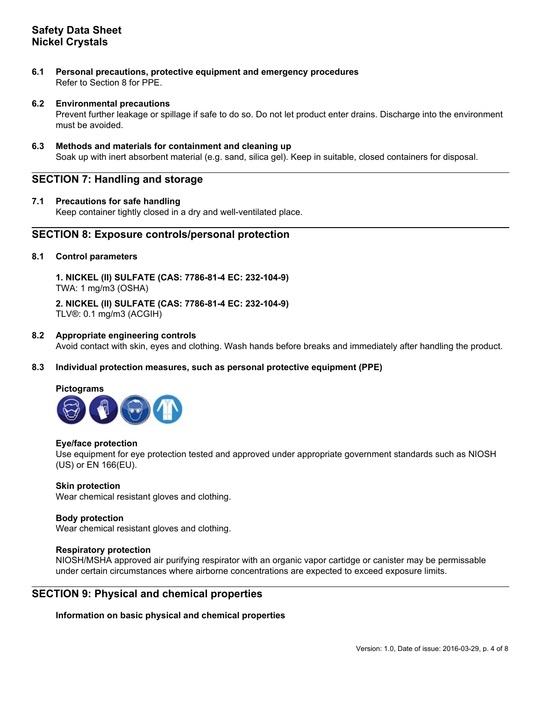**6.1 Personal precautions, protective equipment and emergency procedures** Refer to Section 8 for PPE.

### **6.2 Environmental precautions**

Prevent further leakage or spillage if safe to do so. Do not let product enter drains. Discharge into the environment must be avoided.

### **6.3 Methods and materials for containment and cleaning up**

Soak up with inert absorbent material (e.g. sand, silica gel). Keep in suitable, closed containers for disposal.

## **SECTION 7: Handling and storage**

### **7.1 Precautions for safe handling**

Keep container tightly closed in a dry and well-ventilated place.

### **SECTION 8: Exposure controls/personal protection**

### **8.1 Control parameters**

**1. NICKEL (II) SULFATE (CAS: 7786-81-4 EC: 232-104-9)**  TWA: 1 mg/m3 (OSHA)

**2. NICKEL (II) SULFATE (CAS: 7786-81-4 EC: 232-104-9)**  TLV®: 0.1 mg/m3 (ACGIH)

### **8.2 Appropriate engineering controls**

Avoid contact with skin, eyes and clothing. Wash hands before breaks and immediately after handling the product.

### **8.3 Individual protection measures, such as personal protective equipment (PPE)**

### **Pictograms**



### **Eye/face protection**

Use equipment for eye protection tested and approved under appropriate government standards such as NIOSH (US) or EN 166(EU).

### **Skin protection** Wear chemical resistant gloves and clothing.

# **Body protection**

Wear chemical resistant gloves and clothing.

### **Respiratory protection**

NIOSH/MSHA approved air purifying respirator with an organic vapor cartidge or canister may be permissable under certain circumstances where airborne concentrations are expected to exceed exposure limits.

## **SECTION 9: Physical and chemical properties**

**Information on basic physical and chemical properties**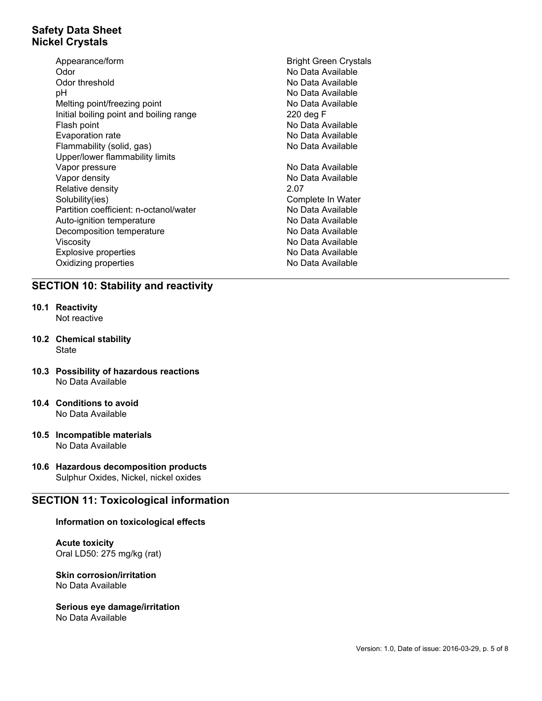- Appearance/form **Bright Green Crystals** Odor No Data Available Odor threshold **No Data Available** No Data Available pH No Data Available Melting point/freezing point No Data Available Initial boiling point and boiling range 220 deg F Flash point **No Data Available** Evaporation rate **No Data Available** Flammability (solid, gas) No Data Available Upper/lower flammability limits Vapor pressure No Data Available Vapor density **No Data Available** Relative density 2.07 Solubility(ies) Complete In Water Partition coefficient: n-octanol/water No Data Available Auto-ignition temperature No Data Available Decomposition temperature No Data Available Viscosity **No Data Available** Explosive properties No Data Available Oxidizing properties No Data Available
	-

## **SECTION 10: Stability and reactivity**

- **10.1 Reactivity** Not reactive
- **10.2 Chemical stability State**
- **10.3 Possibility of hazardous reactions** No Data Available
- **10.4 Conditions to avoid** No Data Available
- **10.5 Incompatible materials** No Data Available
- **10.6 Hazardous decomposition products** Sulphur Oxides, Nickel, nickel oxides

## **SECTION 11: Toxicological information**

### **Information on toxicological effects**

**Acute toxicity** Oral LD50: 275 mg/kg (rat)

**Skin corrosion/irritation** No Data Available

### **Serious eye damage/irritation**

No Data Available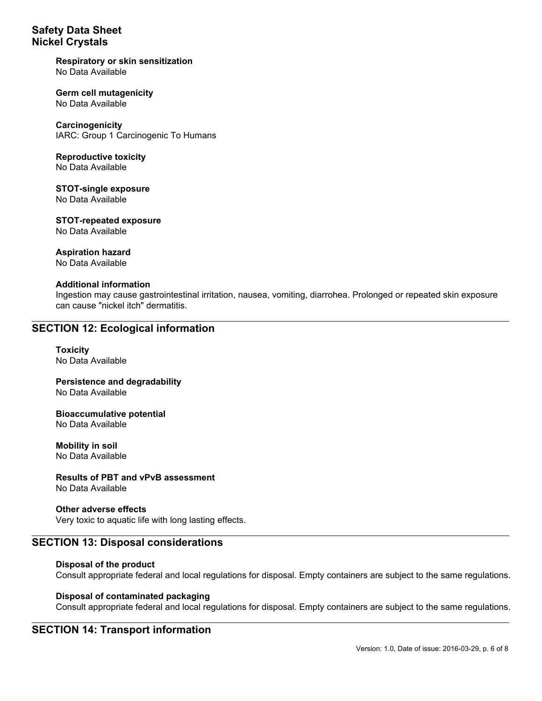### **Respiratory or skin sensitization** No Data Available

### **Germ cell mutagenicity** No Data Available

**Carcinogenicity** IARC: Group 1 Carcinogenic To Humans

### **Reproductive toxicity** No Data Available

**STOT-single exposure** No Data Available

**STOT-repeated exposure** No Data Available

# **Aspiration hazard**

No Data Available

### **Additional information**

Ingestion may cause gastrointestinal irritation, nausea, vomiting, diarrohea. Prolonged or repeated skin exposure can cause "nickel itch" dermatitis.

## **SECTION 12: Ecological information**

**Toxicity** No Data Available

**Persistence and degradability** No Data Available

**Bioaccumulative potential** No Data Available

**Mobility in soil** No Data Available

**Results of PBT and vPvB assessment**

No Data Available

**Other adverse effects** Very toxic to aquatic life with long lasting effects.

## **SECTION 13: Disposal considerations**

## **Disposal of the product**

Consult appropriate federal and local regulations for disposal. Empty containers are subject to the same regulations.

### **Disposal of contaminated packaging**

Consult appropriate federal and local regulations for disposal. Empty containers are subject to the same regulations.

## **SECTION 14: Transport information**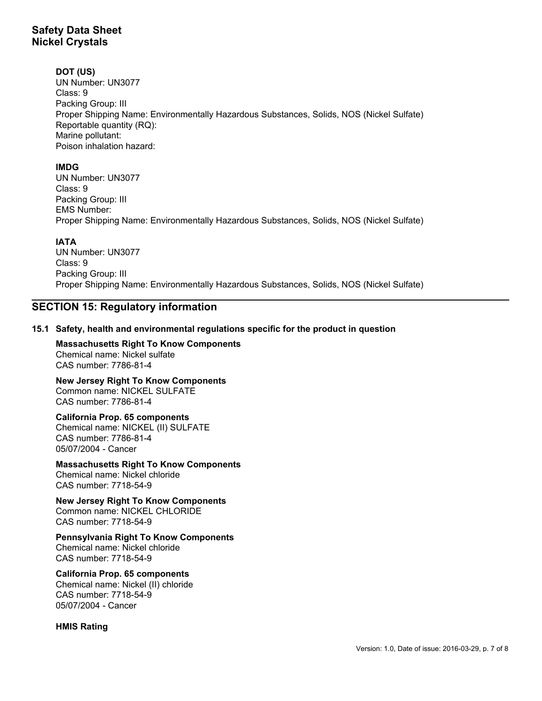## **DOT (US)**

UN Number: UN3077 Class: 9 Packing Group: III Proper Shipping Name: Environmentally Hazardous Substances, Solids, NOS (Nickel Sulfate) Reportable quantity (RQ): Marine pollutant: Poison inhalation hazard:

## **IMDG**

UN Number: UN3077 Class: 9 Packing Group: III EMS Number: Proper Shipping Name: Environmentally Hazardous Substances, Solids, NOS (Nickel Sulfate)

## **IATA**

UN Number: UN3077 Class: 9 Packing Group: III Proper Shipping Name: Environmentally Hazardous Substances, Solids, NOS (Nickel Sulfate)

# **SECTION 15: Regulatory information**

## **15.1 Safety, health and environmental regulations specific for the product in question**

**Massachusetts Right To Know Components** Chemical name: Nickel sulfate CAS number: 7786-81-4

**New Jersey Right To Know Components** Common name: NICKEL SULFATE CAS number: 7786-81-4

**California Prop. 65 components** Chemical name: NICKEL (II) SULFATE CAS number: 7786-81-4 05/07/2004 - Cancer

**Massachusetts Right To Know Components** Chemical name: Nickel chloride CAS number: 7718-54-9

**New Jersey Right To Know Components** Common name: NICKEL CHLORIDE CAS number: 7718-54-9

**Pennsylvania Right To Know Components** Chemical name: Nickel chloride CAS number: 7718-54-9

**California Prop. 65 components** Chemical name: Nickel (II) chloride CAS number: 7718-54-9 05/07/2004 - Cancer

**HMIS Rating**